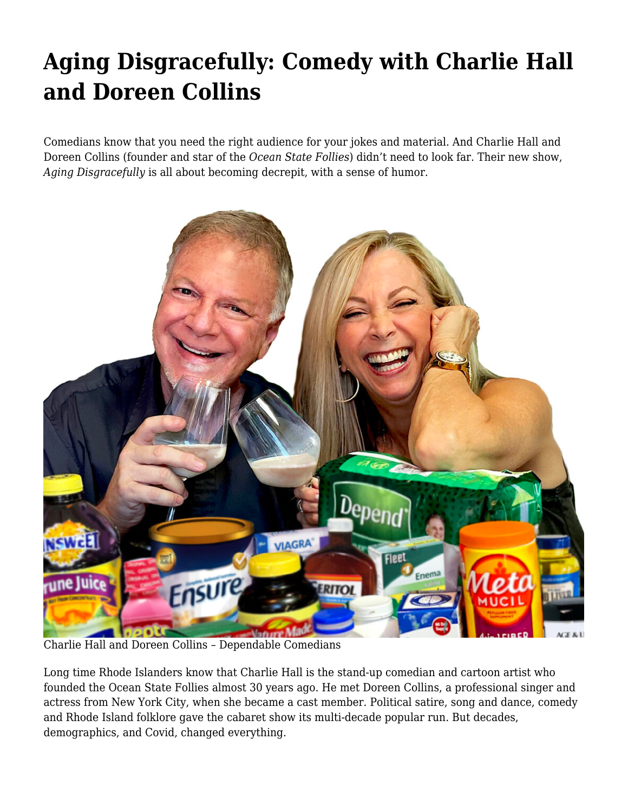## **[Aging Disgracefully: Comedy with Charlie Hall](https://motifri.com/aging-disgracefully-comedy-with-charlie-hall-and-doreen-collins/) [and Doreen Collins](https://motifri.com/aging-disgracefully-comedy-with-charlie-hall-and-doreen-collins/)**

Comedians know that you need the right audience for your jokes and material. And Charlie Hall and Doreen Collins (founder and star of the *Ocean State Follies*) didn't need to look far. Their new show, *Aging Disgracefully* is all about becoming decrepit, with a sense of humor.



Charlie Hall and Doreen Collins – Dependable Comedians

Long time Rhode Islanders know that Charlie Hall is the stand-up comedian and cartoon artist who founded the Ocean State Follies almost 30 years ago. He met Doreen Collins, a professional singer and actress from New York City, when she became a cast member. Political satire, song and dance, comedy and Rhode Island folklore gave the cabaret show its multi-decade popular run. But decades, demographics, and Covid, changed everything.